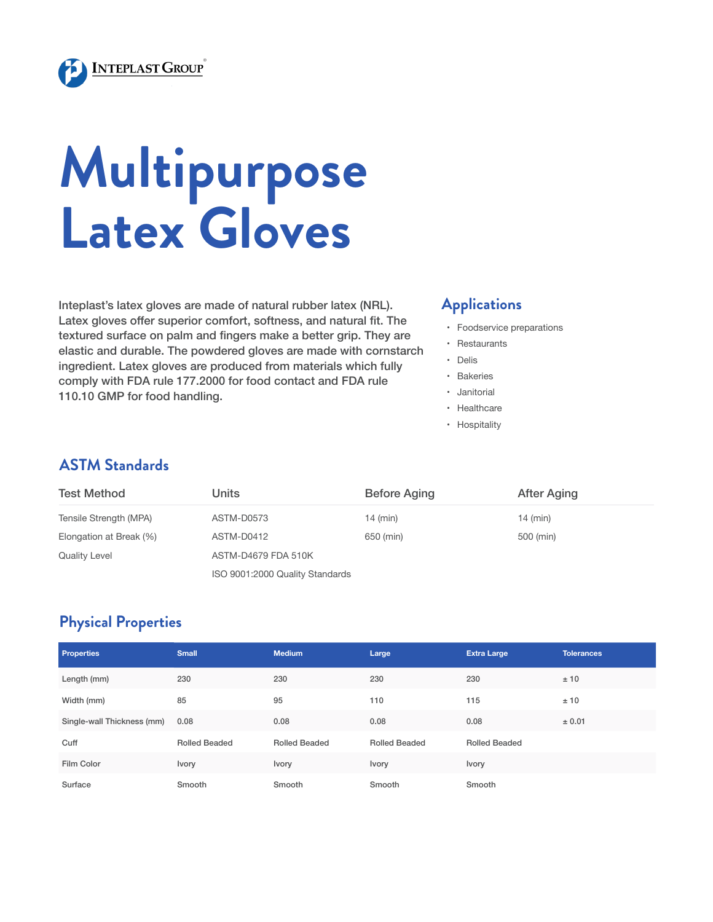

# **Multipurpose Latex Gloves**

Inteplast's latex gloves are made of natural rubber latex (NRL). Latex gloves offer superior comfort, softness, and natural fit. The textured surface on palm and fingers make a better grip. They are elastic and durable. The powdered gloves are made with cornstarch ingredient. Latex gloves are produced from materials which fully comply with FDA rule 177.2000 for food contact and FDA rule 110.10 GMP for food handling.

#### **Applications**

- • Foodservice preparations
- • Restaurants
- • Delis
- • Bakeries
- • Janitorial
- • Healthcare
- • Hospitality

### **ASTM Standards**

| <b>Test Method</b>      | Units                           | <b>Before Aging</b> | <b>After Aging</b> |
|-------------------------|---------------------------------|---------------------|--------------------|
| Tensile Strength (MPA)  | ASTM-D0573                      | $14$ (min)          | $14$ (min)         |
| Elongation at Break (%) | ASTM-D0412                      | 650 (min)           | 500 (min)          |
| <b>Quality Level</b>    | ASTM-D4679 FDA 510K             |                     |                    |
|                         | ISO 9001:2000 Quality Standards |                     |                    |

## **Physical Properties**

| <b>Properties</b>          | <b>Small</b>         | <b>Medium</b>        | Large                | <b>Extra Large</b>   | <b>Tolerances</b> |
|----------------------------|----------------------|----------------------|----------------------|----------------------|-------------------|
| Length (mm)                | 230                  | 230                  | 230                  | 230                  | ±10               |
| Width (mm)                 | 85                   | 95                   | 110                  | 115                  | ±10               |
| Single-wall Thickness (mm) | 0.08                 | 0.08                 | 0.08                 | 0.08                 | ± 0.01            |
| Cuff                       | <b>Rolled Beaded</b> | <b>Rolled Beaded</b> | <b>Rolled Beaded</b> | <b>Rolled Beaded</b> |                   |
| Film Color                 | Ivory                | <b>Ivory</b>         | Ivory                | Ivory                |                   |
| Surface                    | Smooth               | Smooth               | Smooth               | Smooth               |                   |